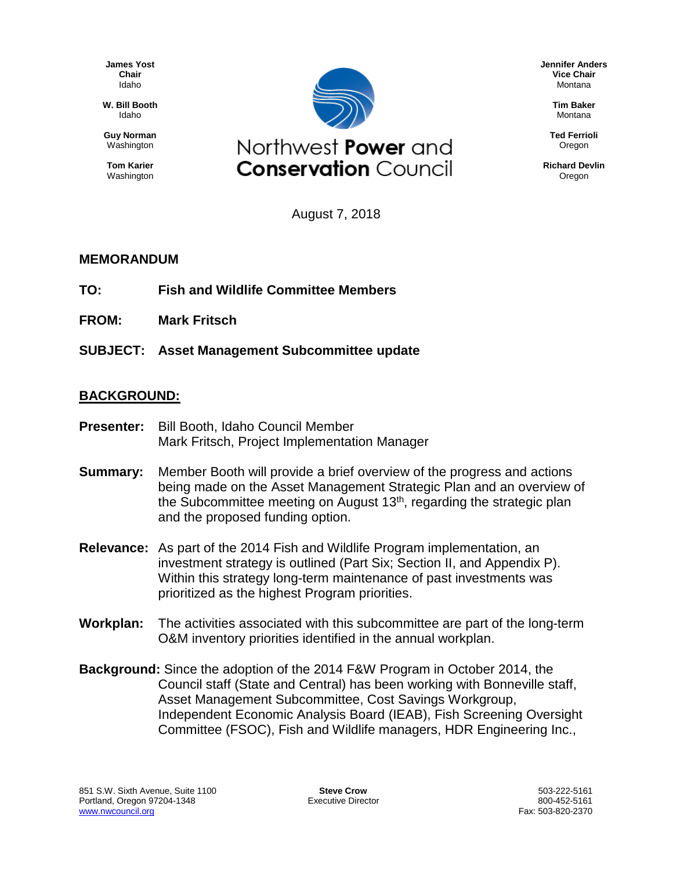**James Yost Chair** Idaho

**W. Bill Booth** Idaho

**Guy Norman** Washington

**Tom Karier** Washington



**Jennifer Anders Vice Chair** Montana

> **Tim Baker** Montana

**Ted Ferrioli** Oregon

**Richard Devlin Oregon** 

August 7, 2018

## **MEMORANDUM**

- **TO: Fish and Wildlife Committee Members**
- **FROM: Mark Fritsch**
- **SUBJECT: Asset Management Subcommittee update**

## **BACKGROUND:**

- **Presenter:** Bill Booth, Idaho Council Member Mark Fritsch, Project Implementation Manager
- **Summary:** Member Booth will provide a brief overview of the progress and actions being made on the Asset Management Strategic Plan and an overview of the Subcommittee meeting on August 13<sup>th</sup>, regarding the strategic plan and the proposed funding option.
- **Relevance:** As part of the 2014 Fish and Wildlife Program implementation, an investment strategy is outlined (Part Six; Section II, and Appendix P). Within this strategy long-term maintenance of past investments was prioritized as the highest Program priorities.
- **Workplan:** The activities associated with this subcommittee are part of the long-term O&M inventory priorities identified in the annual workplan.
- **Background:** Since the adoption of the 2014 F&W Program in October 2014, the Council staff (State and Central) has been working with Bonneville staff, Asset Management Subcommittee, Cost Savings Workgroup, Independent Economic Analysis Board (IEAB), Fish Screening Oversight Committee (FSOC), Fish and Wildlife managers, HDR Engineering Inc.,